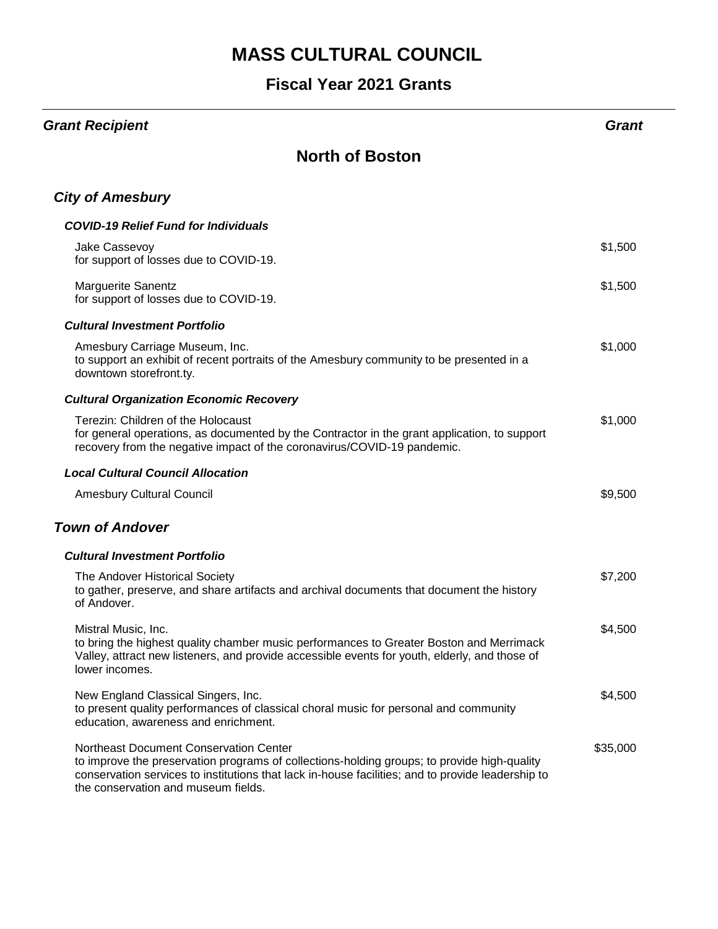### **Fiscal Year 2021 Grants**

#### *Grant Recipient Grant*

#### **North of Boston**

#### *City of Amesbury*

| <b>COVID-19 Relief Fund for Individuals</b>                                                                                                                                                                                       |         |
|-----------------------------------------------------------------------------------------------------------------------------------------------------------------------------------------------------------------------------------|---------|
| Jake Cassevoy<br>for support of losses due to COVID-19.                                                                                                                                                                           | \$1,500 |
| <b>Marguerite Sanentz</b><br>for support of losses due to COVID-19.                                                                                                                                                               | \$1,500 |
| <b>Cultural Investment Portfolio</b>                                                                                                                                                                                              |         |
| Amesbury Carriage Museum, Inc.<br>to support an exhibit of recent portraits of the Amesbury community to be presented in a<br>downtown storefront.ty.                                                                             | \$1,000 |
| <b>Cultural Organization Economic Recovery</b>                                                                                                                                                                                    |         |
| Terezin: Children of the Holocaust<br>for general operations, as documented by the Contractor in the grant application, to support<br>recovery from the negative impact of the coronavirus/COVID-19 pandemic.                     | \$1,000 |
| <b>Local Cultural Council Allocation</b>                                                                                                                                                                                          |         |
| <b>Amesbury Cultural Council</b>                                                                                                                                                                                                  | \$9,500 |
| <b>Town of Andover</b>                                                                                                                                                                                                            |         |
| <b>Cultural Investment Portfolio</b>                                                                                                                                                                                              |         |
| The Andover Historical Society<br>to gather, preserve, and share artifacts and archival documents that document the history<br>of Andover.                                                                                        | \$7,200 |
|                                                                                                                                                                                                                                   | \$4,500 |
| Mistral Music, Inc.<br>to bring the highest quality chamber music performances to Greater Boston and Merrimack<br>Valley, attract new listeners, and provide accessible events for youth, elderly, and those of<br>lower incomes. |         |
| New England Classical Singers, Inc.<br>to present quality performances of classical choral music for personal and community<br>education, awareness and enrichment.                                                               | \$4,500 |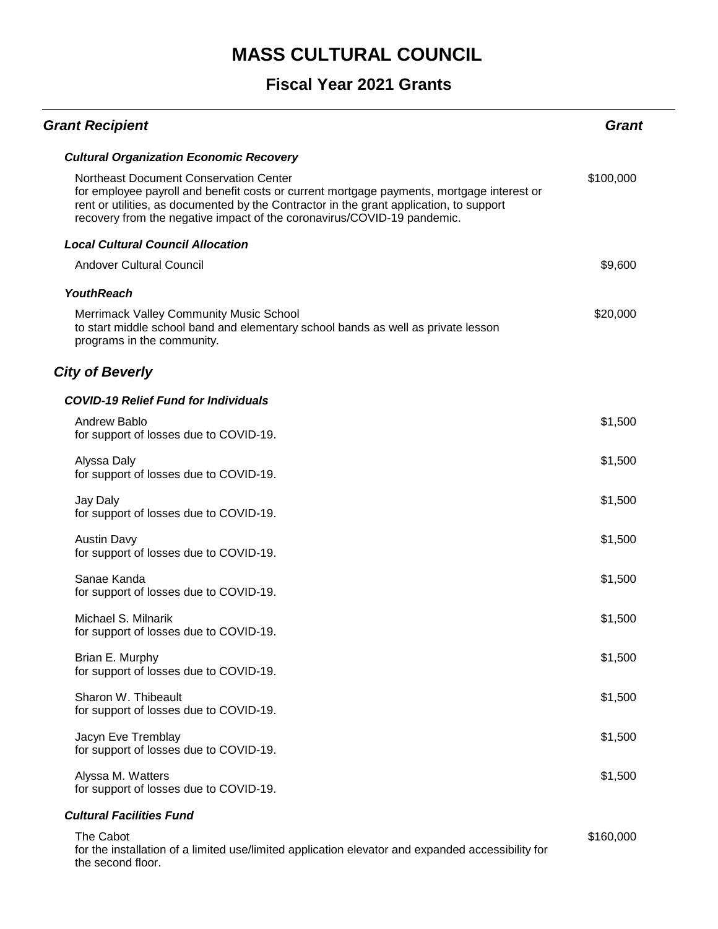#### **Fiscal Year 2021 Grants**

| <b>Grant Recipient</b>                                                                                                                                                                                                                                                                                           | Grant     |
|------------------------------------------------------------------------------------------------------------------------------------------------------------------------------------------------------------------------------------------------------------------------------------------------------------------|-----------|
| <b>Cultural Organization Economic Recovery</b>                                                                                                                                                                                                                                                                   |           |
| <b>Northeast Document Conservation Center</b><br>for employee payroll and benefit costs or current mortgage payments, mortgage interest or<br>rent or utilities, as documented by the Contractor in the grant application, to support<br>recovery from the negative impact of the coronavirus/COVID-19 pandemic. | \$100,000 |
| <b>Local Cultural Council Allocation</b>                                                                                                                                                                                                                                                                         |           |
| <b>Andover Cultural Council</b>                                                                                                                                                                                                                                                                                  | \$9,600   |
| <b>YouthReach</b>                                                                                                                                                                                                                                                                                                |           |
| <b>Merrimack Valley Community Music School</b><br>to start middle school band and elementary school bands as well as private lesson<br>programs in the community.                                                                                                                                                | \$20,000  |
| <b>City of Beverly</b>                                                                                                                                                                                                                                                                                           |           |
| <b>COVID-19 Relief Fund for Individuals</b>                                                                                                                                                                                                                                                                      |           |
| Andrew Bablo<br>for support of losses due to COVID-19.                                                                                                                                                                                                                                                           | \$1,500   |
| Alyssa Daly<br>for support of losses due to COVID-19.                                                                                                                                                                                                                                                            | \$1,500   |
| Jay Daly<br>for support of losses due to COVID-19.                                                                                                                                                                                                                                                               | \$1,500   |
| <b>Austin Davy</b><br>for support of losses due to COVID-19.                                                                                                                                                                                                                                                     | \$1,500   |
| Sanae Kanda<br>for support of losses due to COVID-19.                                                                                                                                                                                                                                                            | \$1,500   |
| Michael S. Milnarik<br>for support of losses due to COVID-19.                                                                                                                                                                                                                                                    | \$1,500   |
| Brian E. Murphy<br>for support of losses due to COVID-19.                                                                                                                                                                                                                                                        | \$1,500   |
| Sharon W. Thibeault<br>for support of losses due to COVID-19.                                                                                                                                                                                                                                                    | \$1,500   |
| Jacyn Eve Tremblay<br>for support of losses due to COVID-19.                                                                                                                                                                                                                                                     | \$1,500   |
| Alyssa M. Watters<br>for support of losses due to COVID-19.                                                                                                                                                                                                                                                      | \$1,500   |
| <b>Cultural Facilities Fund</b>                                                                                                                                                                                                                                                                                  |           |
| The Cabot                                                                                                                                                                                                                                                                                                        | \$160,000 |

for the installation of a limited use/limited application elevator and expanded accessibility for the second floor.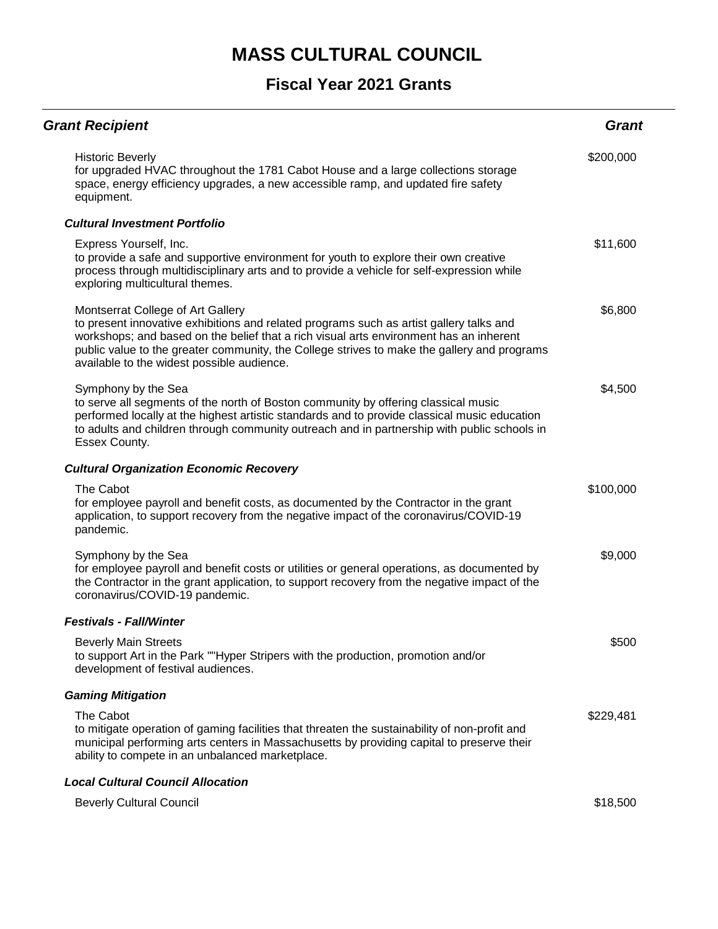| <b>Grant Recipient</b>                                                                                                                                                                                                                                                                                                                                              | <b>Grant</b> |
|---------------------------------------------------------------------------------------------------------------------------------------------------------------------------------------------------------------------------------------------------------------------------------------------------------------------------------------------------------------------|--------------|
| <b>Historic Beverly</b><br>for upgraded HVAC throughout the 1781 Cabot House and a large collections storage<br>space, energy efficiency upgrades, a new accessible ramp, and updated fire safety<br>equipment.                                                                                                                                                     | \$200,000    |
| <b>Cultural Investment Portfolio</b>                                                                                                                                                                                                                                                                                                                                |              |
| Express Yourself, Inc.<br>to provide a safe and supportive environment for youth to explore their own creative<br>process through multidisciplinary arts and to provide a vehicle for self-expression while<br>exploring multicultural themes.                                                                                                                      | \$11,600     |
| Montserrat College of Art Gallery<br>to present innovative exhibitions and related programs such as artist gallery talks and<br>workshops; and based on the belief that a rich visual arts environment has an inherent<br>public value to the greater community, the College strives to make the gallery and programs<br>available to the widest possible audience. | \$6,800      |
| Symphony by the Sea<br>to serve all segments of the north of Boston community by offering classical music<br>performed locally at the highest artistic standards and to provide classical music education<br>to adults and children through community outreach and in partnership with public schools in<br>Essex County.                                           | \$4,500      |
| <b>Cultural Organization Economic Recovery</b>                                                                                                                                                                                                                                                                                                                      |              |
| The Cabot<br>for employee payroll and benefit costs, as documented by the Contractor in the grant<br>application, to support recovery from the negative impact of the coronavirus/COVID-19<br>pandemic.                                                                                                                                                             | \$100,000    |
| Symphony by the Sea<br>for employee payroll and benefit costs or utilities or general operations, as documented by<br>the Contractor in the grant application, to support recovery from the negative impact of the<br>coronavirus/COVID-19 pandemic.                                                                                                                | \$9,000      |
| <b>Festivals - Fall/Winter</b>                                                                                                                                                                                                                                                                                                                                      |              |
| <b>Beverly Main Streets</b><br>to support Art in the Park ""Hyper Stripers with the production, promotion and/or<br>development of festival audiences.                                                                                                                                                                                                              | \$500        |
| <b>Gaming Mitigation</b>                                                                                                                                                                                                                                                                                                                                            |              |
| The Cabot<br>to mitigate operation of gaming facilities that threaten the sustainability of non-profit and<br>municipal performing arts centers in Massachusetts by providing capital to preserve their<br>ability to compete in an unbalanced marketplace.                                                                                                         | \$229,481    |
| <b>Local Cultural Council Allocation</b>                                                                                                                                                                                                                                                                                                                            |              |
| <b>Beverly Cultural Council</b>                                                                                                                                                                                                                                                                                                                                     | \$18,500     |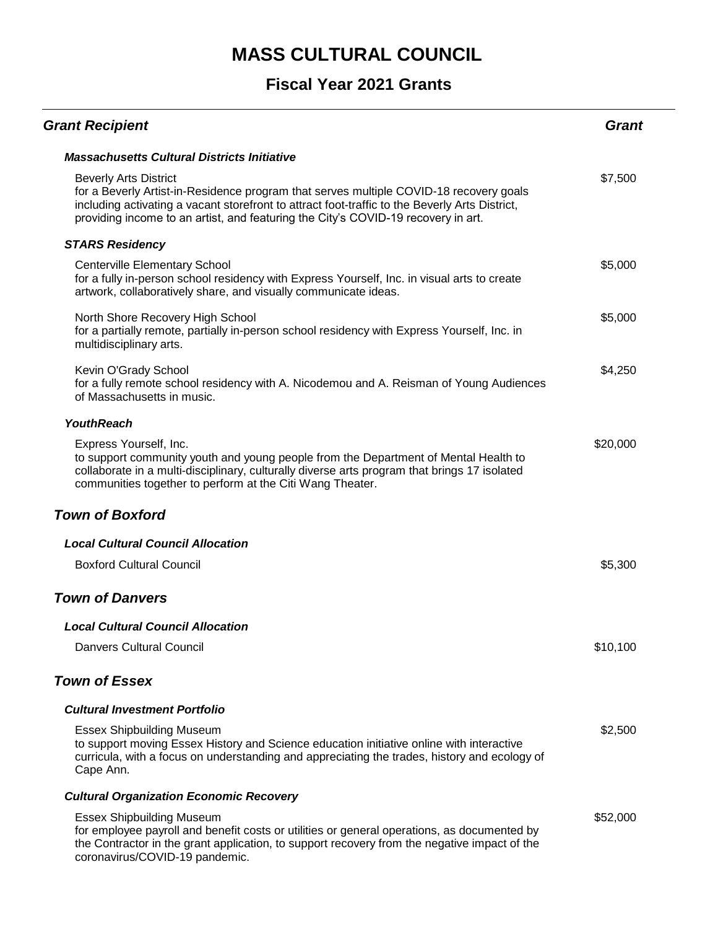| <b>Grant Recipient</b>                                                                                                                                                                                                                                                                                        | Grant    |
|---------------------------------------------------------------------------------------------------------------------------------------------------------------------------------------------------------------------------------------------------------------------------------------------------------------|----------|
| <b>Massachusetts Cultural Districts Initiative</b>                                                                                                                                                                                                                                                            |          |
| <b>Beverly Arts District</b><br>for a Beverly Artist-in-Residence program that serves multiple COVID-18 recovery goals<br>including activating a vacant storefront to attract foot-traffic to the Beverly Arts District,<br>providing income to an artist, and featuring the City's COVID-19 recovery in art. | \$7,500  |
| <b>STARS Residency</b>                                                                                                                                                                                                                                                                                        |          |
| <b>Centerville Elementary School</b><br>for a fully in-person school residency with Express Yourself, Inc. in visual arts to create<br>artwork, collaboratively share, and visually communicate ideas.                                                                                                        | \$5,000  |
| North Shore Recovery High School<br>for a partially remote, partially in-person school residency with Express Yourself, Inc. in<br>multidisciplinary arts.                                                                                                                                                    | \$5,000  |
| Kevin O'Grady School<br>for a fully remote school residency with A. Nicodemou and A. Reisman of Young Audiences<br>of Massachusetts in music.                                                                                                                                                                 | \$4,250  |
| <b>YouthReach</b>                                                                                                                                                                                                                                                                                             |          |
| Express Yourself, Inc.<br>to support community youth and young people from the Department of Mental Health to<br>collaborate in a multi-disciplinary, culturally diverse arts program that brings 17 isolated<br>communities together to perform at the Citi Wang Theater.                                    | \$20,000 |
| <b>Town of Boxford</b>                                                                                                                                                                                                                                                                                        |          |
| <b>Local Cultural Council Allocation</b>                                                                                                                                                                                                                                                                      |          |
| <b>Boxford Cultural Council</b>                                                                                                                                                                                                                                                                               | \$5,300  |
| <b>Town of Danvers</b>                                                                                                                                                                                                                                                                                        |          |
| <b>Local Cultural Council Allocation</b>                                                                                                                                                                                                                                                                      |          |
| <b>Danvers Cultural Council</b>                                                                                                                                                                                                                                                                               | \$10,100 |
| <b>Town of Essex</b>                                                                                                                                                                                                                                                                                          |          |
| <b>Cultural Investment Portfolio</b>                                                                                                                                                                                                                                                                          |          |
| <b>Essex Shipbuilding Museum</b><br>to support moving Essex History and Science education initiative online with interactive<br>curricula, with a focus on understanding and appreciating the trades, history and ecology of<br>Cape Ann.                                                                     | \$2,500  |
| <b>Cultural Organization Economic Recovery</b>                                                                                                                                                                                                                                                                |          |
| <b>Essex Shipbuilding Museum</b><br>for employee payroll and benefit costs or utilities or general operations, as documented by<br>the Contractor in the grant application, to support recovery from the negative impact of the<br>coronavirus/COVID-19 pandemic.                                             | \$52,000 |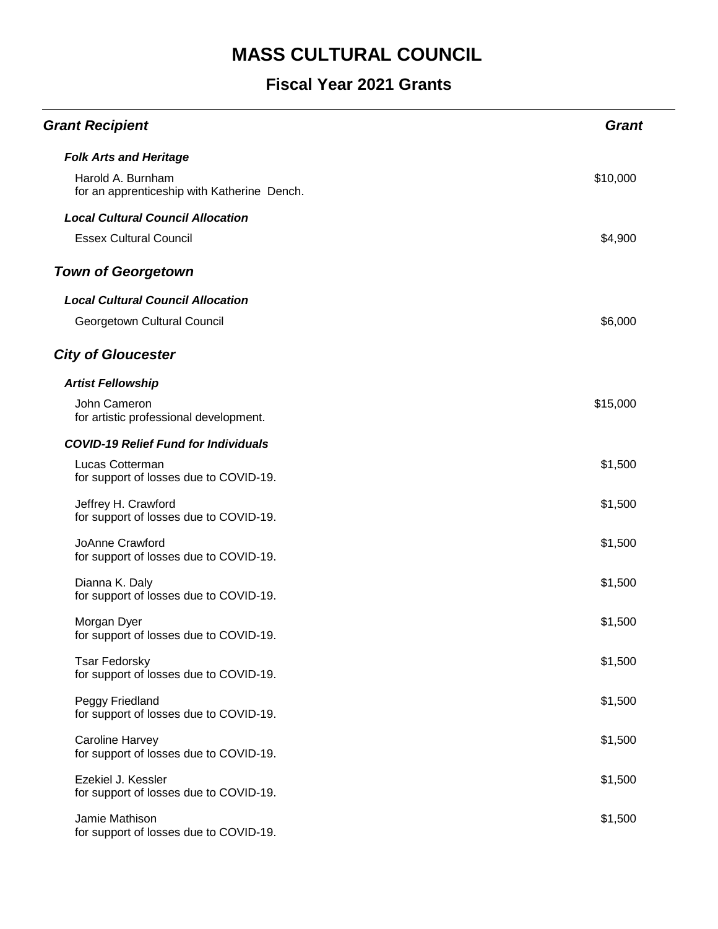| <b>Grant Recipient</b>                                           | <b>Grant</b> |
|------------------------------------------------------------------|--------------|
| <b>Folk Arts and Heritage</b>                                    |              |
| Harold A. Burnham<br>for an apprenticeship with Katherine Dench. | \$10,000     |
| <b>Local Cultural Council Allocation</b>                         |              |
| <b>Essex Cultural Council</b>                                    | \$4,900      |
| <b>Town of Georgetown</b>                                        |              |
| <b>Local Cultural Council Allocation</b>                         |              |
| Georgetown Cultural Council                                      | \$6,000      |
| <b>City of Gloucester</b>                                        |              |
| <b>Artist Fellowship</b>                                         |              |
| John Cameron<br>for artistic professional development.           | \$15,000     |
| <b>COVID-19 Relief Fund for Individuals</b>                      |              |
| Lucas Cotterman<br>for support of losses due to COVID-19.        | \$1,500      |
| Jeffrey H. Crawford<br>for support of losses due to COVID-19.    | \$1,500      |
| JoAnne Crawford<br>for support of losses due to COVID-19.        | \$1,500      |
| Dianna K. Daly<br>for support of losses due to COVID-19.         | \$1,500      |
| Morgan Dyer<br>for support of losses due to COVID-19.            | \$1,500      |
| <b>Tsar Fedorsky</b><br>for support of losses due to COVID-19.   | \$1,500      |
| Peggy Friedland<br>for support of losses due to COVID-19.        | \$1,500      |
| <b>Caroline Harvey</b><br>for support of losses due to COVID-19. | \$1,500      |
| Ezekiel J. Kessler<br>for support of losses due to COVID-19.     | \$1,500      |
| Jamie Mathison<br>for support of losses due to COVID-19.         | \$1,500      |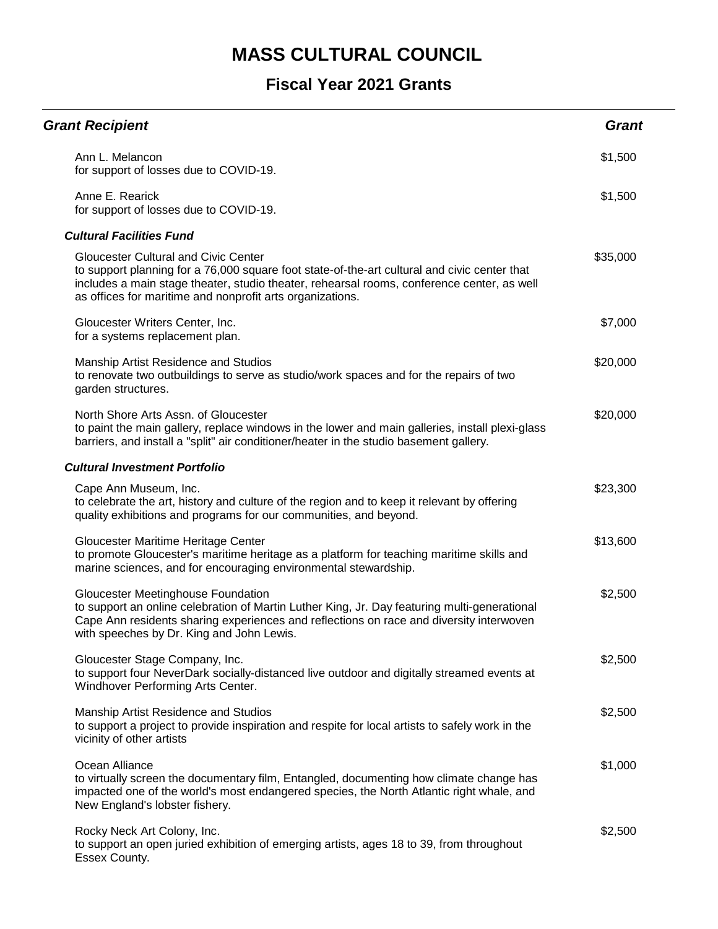| <b>Grant Recipient</b>                                                                                                                                                                                                                                                                                 | <b>Grant</b> |
|--------------------------------------------------------------------------------------------------------------------------------------------------------------------------------------------------------------------------------------------------------------------------------------------------------|--------------|
| Ann L. Melancon<br>for support of losses due to COVID-19.                                                                                                                                                                                                                                              | \$1,500      |
| Anne E. Rearick<br>for support of losses due to COVID-19.                                                                                                                                                                                                                                              | \$1,500      |
| <b>Cultural Facilities Fund</b>                                                                                                                                                                                                                                                                        |              |
| <b>Gloucester Cultural and Civic Center</b><br>to support planning for a 76,000 square foot state-of-the-art cultural and civic center that<br>includes a main stage theater, studio theater, rehearsal rooms, conference center, as well<br>as offices for maritime and nonprofit arts organizations. | \$35,000     |
| Gloucester Writers Center, Inc.<br>for a systems replacement plan.                                                                                                                                                                                                                                     | \$7,000      |
| Manship Artist Residence and Studios<br>to renovate two outbuildings to serve as studio/work spaces and for the repairs of two<br>garden structures.                                                                                                                                                   | \$20,000     |
| North Shore Arts Assn. of Gloucester<br>to paint the main gallery, replace windows in the lower and main galleries, install plexi-glass<br>barriers, and install a "split" air conditioner/heater in the studio basement gallery.                                                                      | \$20,000     |
| <b>Cultural Investment Portfolio</b>                                                                                                                                                                                                                                                                   |              |
| Cape Ann Museum, Inc.<br>to celebrate the art, history and culture of the region and to keep it relevant by offering<br>quality exhibitions and programs for our communities, and beyond.                                                                                                              | \$23,300     |
| Gloucester Maritime Heritage Center<br>to promote Gloucester's maritime heritage as a platform for teaching maritime skills and<br>marine sciences, and for encouraging environmental stewardship.                                                                                                     | \$13,600     |
| <b>Gloucester Meetinghouse Foundation</b><br>to support an online celebration of Martin Luther King, Jr. Day featuring multi-generational<br>Cape Ann residents sharing experiences and reflections on race and diversity interwoven<br>with speeches by Dr. King and John Lewis.                      | \$2,500      |
| Gloucester Stage Company, Inc.<br>to support four NeverDark socially-distanced live outdoor and digitally streamed events at<br>Windhover Performing Arts Center.                                                                                                                                      | \$2,500      |
| Manship Artist Residence and Studios<br>to support a project to provide inspiration and respite for local artists to safely work in the<br>vicinity of other artists                                                                                                                                   | \$2,500      |
| Ocean Alliance<br>to virtually screen the documentary film, Entangled, documenting how climate change has<br>impacted one of the world's most endangered species, the North Atlantic right whale, and<br>New England's lobster fishery.                                                                | \$1,000      |
| Rocky Neck Art Colony, Inc.<br>to support an open juried exhibition of emerging artists, ages 18 to 39, from throughout<br>Essex County.                                                                                                                                                               | \$2,500      |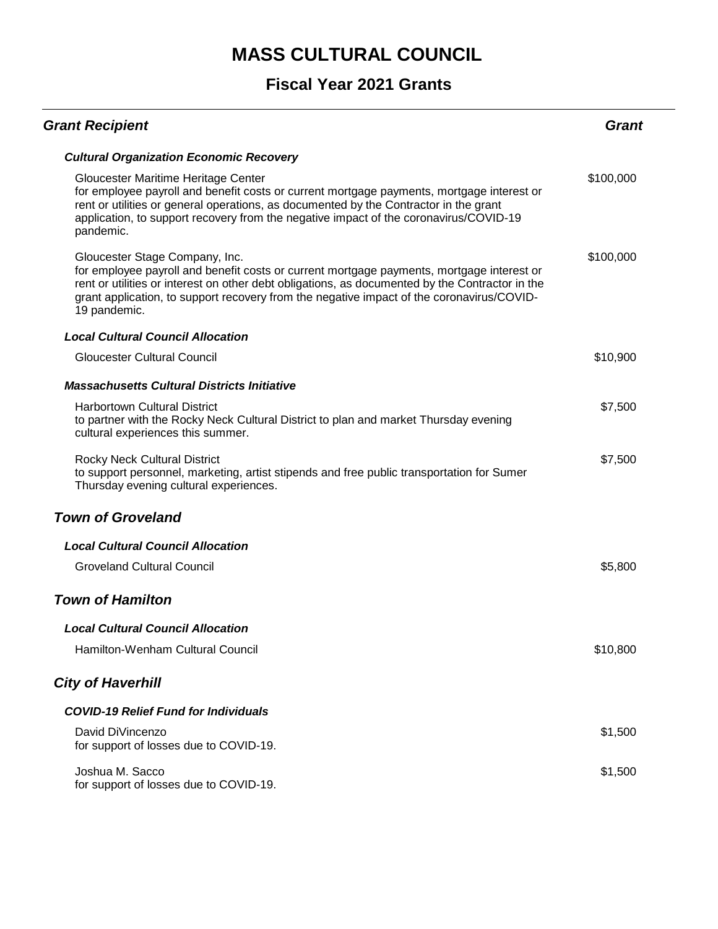| <b>Grant Recipient</b>                                                                                                                                                                                                                                                                                                                      | Grant     |
|---------------------------------------------------------------------------------------------------------------------------------------------------------------------------------------------------------------------------------------------------------------------------------------------------------------------------------------------|-----------|
| <b>Cultural Organization Economic Recovery</b>                                                                                                                                                                                                                                                                                              |           |
| Gloucester Maritime Heritage Center<br>for employee payroll and benefit costs or current mortgage payments, mortgage interest or<br>rent or utilities or general operations, as documented by the Contractor in the grant<br>application, to support recovery from the negative impact of the coronavirus/COVID-19<br>pandemic.             | \$100,000 |
| Gloucester Stage Company, Inc.<br>for employee payroll and benefit costs or current mortgage payments, mortgage interest or<br>rent or utilities or interest on other debt obligations, as documented by the Contractor in the<br>grant application, to support recovery from the negative impact of the coronavirus/COVID-<br>19 pandemic. | \$100,000 |
| <b>Local Cultural Council Allocation</b>                                                                                                                                                                                                                                                                                                    |           |
| <b>Gloucester Cultural Council</b>                                                                                                                                                                                                                                                                                                          | \$10,900  |
| <b>Massachusetts Cultural Districts Initiative</b>                                                                                                                                                                                                                                                                                          |           |
| <b>Harbortown Cultural District</b><br>to partner with the Rocky Neck Cultural District to plan and market Thursday evening<br>cultural experiences this summer.                                                                                                                                                                            | \$7,500   |
| <b>Rocky Neck Cultural District</b><br>to support personnel, marketing, artist stipends and free public transportation for Sumer<br>Thursday evening cultural experiences.                                                                                                                                                                  | \$7,500   |
| <b>Town of Groveland</b>                                                                                                                                                                                                                                                                                                                    |           |
| <b>Local Cultural Council Allocation</b>                                                                                                                                                                                                                                                                                                    |           |
| <b>Groveland Cultural Council</b>                                                                                                                                                                                                                                                                                                           | \$5,800   |
| <b>Town of Hamilton</b>                                                                                                                                                                                                                                                                                                                     |           |
| <b>Local Cultural Council Allocation</b>                                                                                                                                                                                                                                                                                                    |           |
| Hamilton-Wenham Cultural Council                                                                                                                                                                                                                                                                                                            | \$10,800  |
| <b>City of Haverhill</b>                                                                                                                                                                                                                                                                                                                    |           |
| <b>COVID-19 Relief Fund for Individuals</b>                                                                                                                                                                                                                                                                                                 |           |
| David DiVincenzo<br>for support of losses due to COVID-19.                                                                                                                                                                                                                                                                                  | \$1,500   |
| Joshua M. Sacco<br>for support of losses due to COVID-19.                                                                                                                                                                                                                                                                                   | \$1,500   |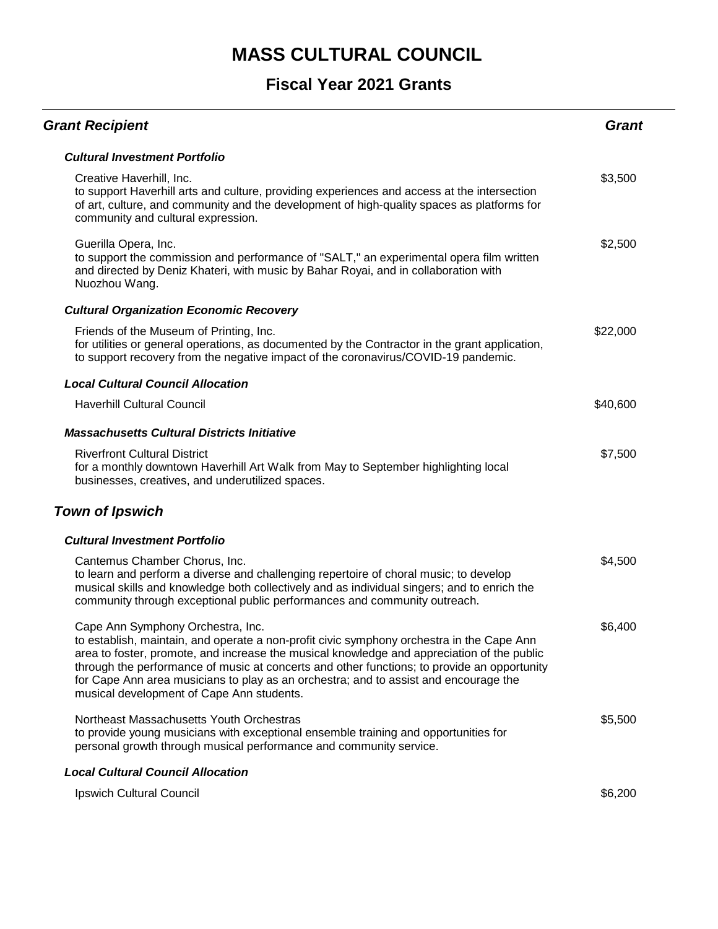| <b>Grant Recipient</b>                                                                                                                                                                                                                                                                                                                                                                                                                                           | <b>Grant</b> |
|------------------------------------------------------------------------------------------------------------------------------------------------------------------------------------------------------------------------------------------------------------------------------------------------------------------------------------------------------------------------------------------------------------------------------------------------------------------|--------------|
| <b>Cultural Investment Portfolio</b>                                                                                                                                                                                                                                                                                                                                                                                                                             |              |
| Creative Haverhill, Inc.<br>to support Haverhill arts and culture, providing experiences and access at the intersection<br>of art, culture, and community and the development of high-quality spaces as platforms for<br>community and cultural expression.                                                                                                                                                                                                      | \$3,500      |
| Guerilla Opera, Inc.<br>to support the commission and performance of "SALT," an experimental opera film written<br>and directed by Deniz Khateri, with music by Bahar Royai, and in collaboration with<br>Nuozhou Wang.                                                                                                                                                                                                                                          | \$2,500      |
| <b>Cultural Organization Economic Recovery</b>                                                                                                                                                                                                                                                                                                                                                                                                                   |              |
| Friends of the Museum of Printing, Inc.<br>for utilities or general operations, as documented by the Contractor in the grant application,<br>to support recovery from the negative impact of the coronavirus/COVID-19 pandemic.                                                                                                                                                                                                                                  | \$22,000     |
| <b>Local Cultural Council Allocation</b>                                                                                                                                                                                                                                                                                                                                                                                                                         |              |
| <b>Haverhill Cultural Council</b>                                                                                                                                                                                                                                                                                                                                                                                                                                | \$40,600     |
| <b>Massachusetts Cultural Districts Initiative</b>                                                                                                                                                                                                                                                                                                                                                                                                               |              |
| <b>Riverfront Cultural District</b><br>for a monthly downtown Haverhill Art Walk from May to September highlighting local<br>businesses, creatives, and underutilized spaces.                                                                                                                                                                                                                                                                                    | \$7,500      |
| <b>Town of Ipswich</b>                                                                                                                                                                                                                                                                                                                                                                                                                                           |              |
| <b>Cultural Investment Portfolio</b>                                                                                                                                                                                                                                                                                                                                                                                                                             |              |
| Cantemus Chamber Chorus, Inc.<br>to learn and perform a diverse and challenging repertoire of choral music; to develop<br>musical skills and knowledge both collectively and as individual singers; and to enrich the<br>community through exceptional public performances and community outreach.                                                                                                                                                               | \$4,500      |
| Cape Ann Symphony Orchestra, Inc.<br>to establish, maintain, and operate a non-profit civic symphony orchestra in the Cape Ann<br>area to foster, promote, and increase the musical knowledge and appreciation of the public<br>through the performance of music at concerts and other functions; to provide an opportunity<br>for Cape Ann area musicians to play as an orchestra; and to assist and encourage the<br>musical development of Cape Ann students. | \$6,400      |
| Northeast Massachusetts Youth Orchestras<br>to provide young musicians with exceptional ensemble training and opportunities for<br>personal growth through musical performance and community service.                                                                                                                                                                                                                                                            | \$5,500      |
| <b>Local Cultural Council Allocation</b>                                                                                                                                                                                                                                                                                                                                                                                                                         |              |
| Ipswich Cultural Council                                                                                                                                                                                                                                                                                                                                                                                                                                         | \$6,200      |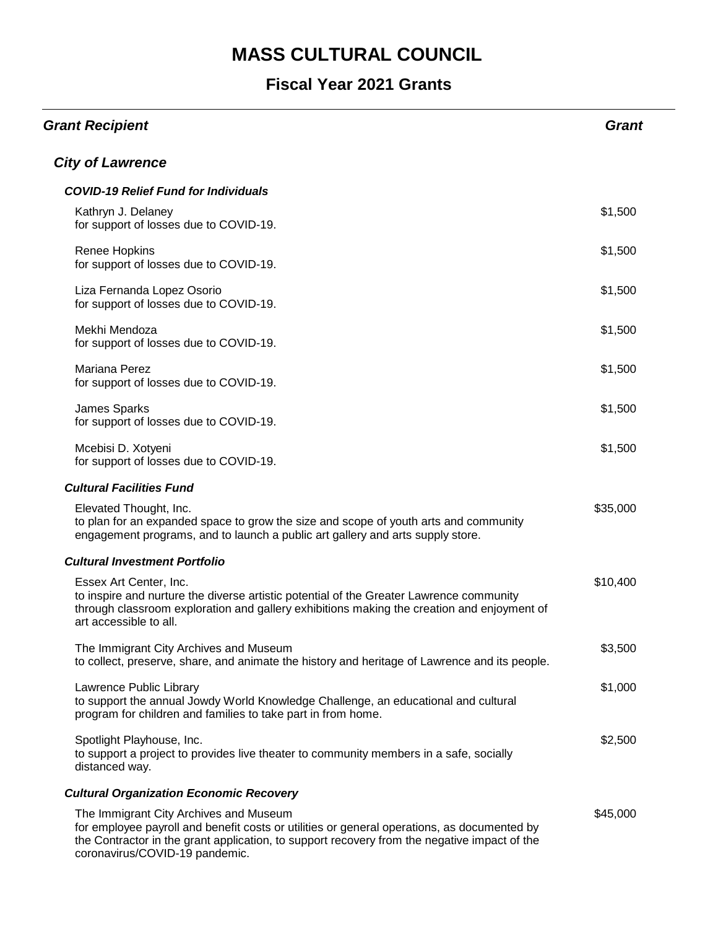| <b>Grant Recipient</b>                                                                                                                                                                                                                                                  | <b>Grant</b> |
|-------------------------------------------------------------------------------------------------------------------------------------------------------------------------------------------------------------------------------------------------------------------------|--------------|
| <b>City of Lawrence</b>                                                                                                                                                                                                                                                 |              |
| <b>COVID-19 Relief Fund for Individuals</b>                                                                                                                                                                                                                             |              |
| Kathryn J. Delaney<br>for support of losses due to COVID-19.                                                                                                                                                                                                            | \$1,500      |
| Renee Hopkins<br>for support of losses due to COVID-19.                                                                                                                                                                                                                 | \$1,500      |
| Liza Fernanda Lopez Osorio<br>for support of losses due to COVID-19.                                                                                                                                                                                                    | \$1,500      |
| Mekhi Mendoza<br>for support of losses due to COVID-19.                                                                                                                                                                                                                 | \$1,500      |
| Mariana Perez<br>for support of losses due to COVID-19.                                                                                                                                                                                                                 | \$1,500      |
| James Sparks<br>for support of losses due to COVID-19.                                                                                                                                                                                                                  | \$1,500      |
| Mcebisi D. Xotyeni<br>for support of losses due to COVID-19.                                                                                                                                                                                                            | \$1,500      |
| <b>Cultural Facilities Fund</b>                                                                                                                                                                                                                                         |              |
| Elevated Thought, Inc.<br>to plan for an expanded space to grow the size and scope of youth arts and community<br>engagement programs, and to launch a public art gallery and arts supply store.                                                                        | \$35,000     |
| <b>Cultural Investment Portfolio</b>                                                                                                                                                                                                                                    |              |
| Essex Art Center, Inc.<br>to inspire and nurture the diverse artistic potential of the Greater Lawrence community<br>through classroom exploration and gallery exhibitions making the creation and enjoyment of<br>art accessible to all.                               | \$10,400     |
| The Immigrant City Archives and Museum<br>to collect, preserve, share, and animate the history and heritage of Lawrence and its people.                                                                                                                                 | \$3,500      |
| Lawrence Public Library<br>to support the annual Jowdy World Knowledge Challenge, an educational and cultural<br>program for children and families to take part in from home.                                                                                           | \$1,000      |
| Spotlight Playhouse, Inc.<br>to support a project to provides live theater to community members in a safe, socially<br>distanced way.                                                                                                                                   | \$2,500      |
| <b>Cultural Organization Economic Recovery</b>                                                                                                                                                                                                                          |              |
| The Immigrant City Archives and Museum<br>for employee payroll and benefit costs or utilities or general operations, as documented by<br>the Contractor in the grant application, to support recovery from the negative impact of the<br>coronavirus/COVID-19 pandemic. | \$45,000     |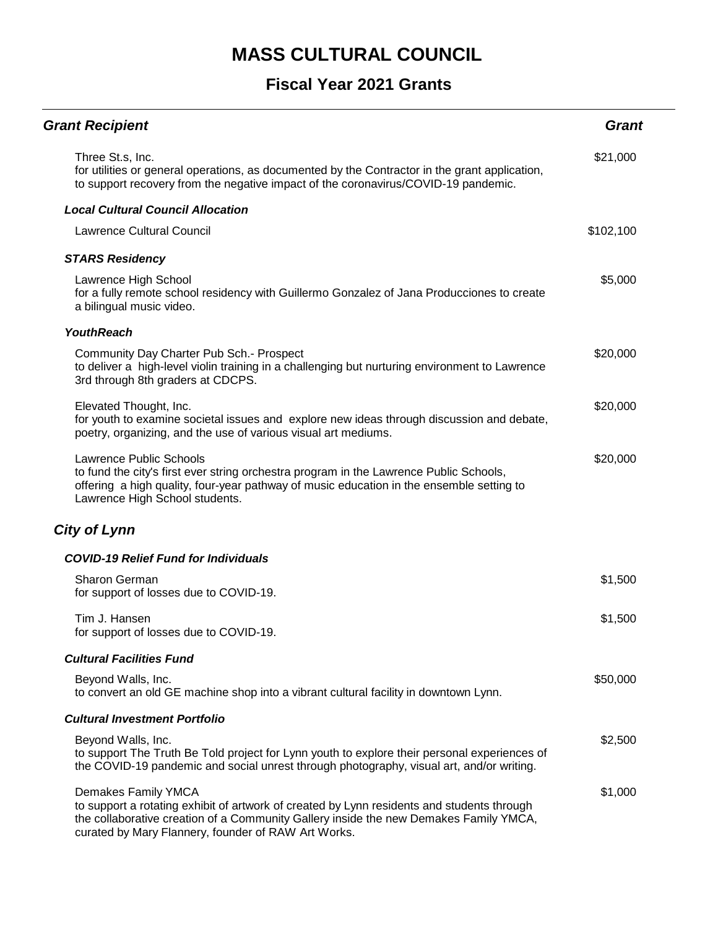| <b>Grant Recipient</b>                                                                                                                                                                                                                                            | <b>Grant</b> |
|-------------------------------------------------------------------------------------------------------------------------------------------------------------------------------------------------------------------------------------------------------------------|--------------|
| Three St.s, Inc.<br>for utilities or general operations, as documented by the Contractor in the grant application,<br>to support recovery from the negative impact of the coronavirus/COVID-19 pandemic.                                                          | \$21,000     |
| <b>Local Cultural Council Allocation</b>                                                                                                                                                                                                                          |              |
| <b>Lawrence Cultural Council</b>                                                                                                                                                                                                                                  | \$102,100    |
| <b>STARS Residency</b>                                                                                                                                                                                                                                            |              |
| Lawrence High School<br>for a fully remote school residency with Guillermo Gonzalez of Jana Producciones to create<br>a bilingual music video.                                                                                                                    | \$5,000      |
| <b>YouthReach</b>                                                                                                                                                                                                                                                 |              |
| Community Day Charter Pub Sch.- Prospect<br>to deliver a high-level violin training in a challenging but nurturing environment to Lawrence<br>3rd through 8th graders at CDCPS.                                                                                   | \$20,000     |
| Elevated Thought, Inc.<br>for youth to examine societal issues and explore new ideas through discussion and debate,<br>poetry, organizing, and the use of various visual art mediums.                                                                             | \$20,000     |
| <b>Lawrence Public Schools</b><br>to fund the city's first ever string orchestra program in the Lawrence Public Schools,<br>offering a high quality, four-year pathway of music education in the ensemble setting to<br>Lawrence High School students.            | \$20,000     |
| <b>City of Lynn</b>                                                                                                                                                                                                                                               |              |
| <b>COVID-19 Relief Fund for Individuals</b>                                                                                                                                                                                                                       |              |
| <b>Sharon German</b><br>for support of losses due to COVID-19.                                                                                                                                                                                                    | \$1,500      |
| Tim J. Hansen<br>for support of losses due to COVID-19.                                                                                                                                                                                                           | \$1,500      |
| <b>Cultural Facilities Fund</b>                                                                                                                                                                                                                                   |              |
| Beyond Walls, Inc.<br>to convert an old GE machine shop into a vibrant cultural facility in downtown Lynn.                                                                                                                                                        | \$50,000     |
| <b>Cultural Investment Portfolio</b>                                                                                                                                                                                                                              |              |
| Beyond Walls, Inc.<br>to support The Truth Be Told project for Lynn youth to explore their personal experiences of<br>the COVID-19 pandemic and social unrest through photography, visual art, and/or writing.                                                    | \$2,500      |
| Demakes Family YMCA<br>to support a rotating exhibit of artwork of created by Lynn residents and students through<br>the collaborative creation of a Community Gallery inside the new Demakes Family YMCA,<br>curated by Mary Flannery, founder of RAW Art Works. | \$1,000      |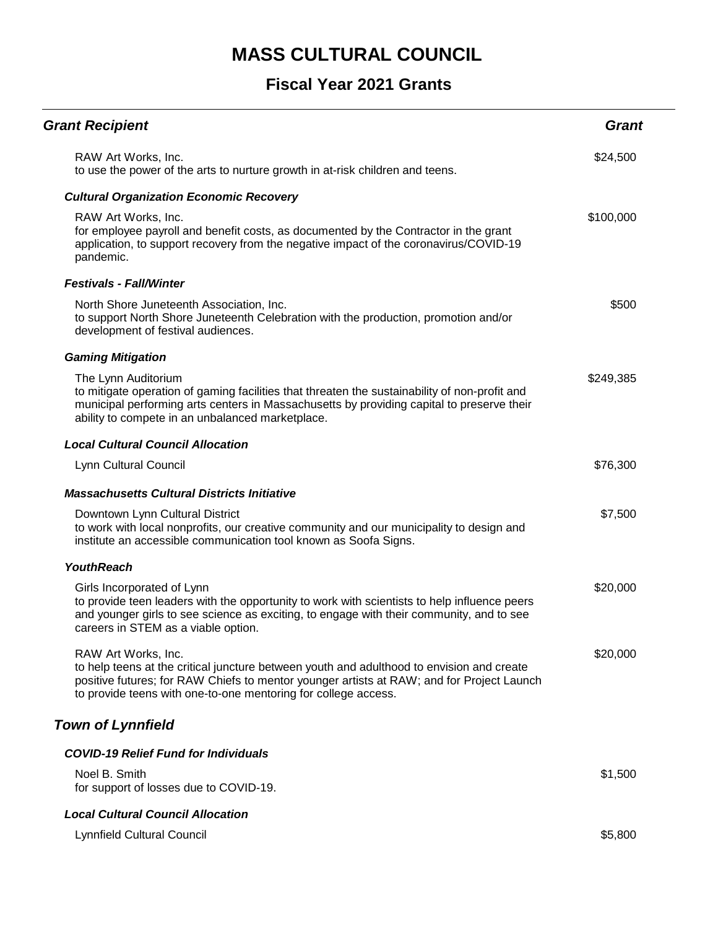| <b>Grant Recipient</b>                                                                                                                                                                                                                                                          | <b>Grant</b> |
|---------------------------------------------------------------------------------------------------------------------------------------------------------------------------------------------------------------------------------------------------------------------------------|--------------|
| RAW Art Works, Inc.<br>to use the power of the arts to nurture growth in at-risk children and teens.                                                                                                                                                                            | \$24,500     |
| <b>Cultural Organization Economic Recovery</b>                                                                                                                                                                                                                                  |              |
| RAW Art Works, Inc.<br>for employee payroll and benefit costs, as documented by the Contractor in the grant<br>application, to support recovery from the negative impact of the coronavirus/COVID-19<br>pandemic.                                                               | \$100,000    |
| <b>Festivals - Fall/Winter</b>                                                                                                                                                                                                                                                  |              |
| North Shore Juneteenth Association, Inc.<br>to support North Shore Juneteenth Celebration with the production, promotion and/or<br>development of festival audiences.                                                                                                           | \$500        |
| <b>Gaming Mitigation</b>                                                                                                                                                                                                                                                        |              |
| The Lynn Auditorium<br>to mitigate operation of gaming facilities that threaten the sustainability of non-profit and<br>municipal performing arts centers in Massachusetts by providing capital to preserve their<br>ability to compete in an unbalanced marketplace.           | \$249,385    |
| <b>Local Cultural Council Allocation</b>                                                                                                                                                                                                                                        |              |
| Lynn Cultural Council                                                                                                                                                                                                                                                           | \$76,300     |
| <b>Massachusetts Cultural Districts Initiative</b>                                                                                                                                                                                                                              |              |
| Downtown Lynn Cultural District<br>to work with local nonprofits, our creative community and our municipality to design and<br>institute an accessible communication tool known as Soofa Signs.                                                                                 | \$7,500      |
| <b>YouthReach</b>                                                                                                                                                                                                                                                               |              |
| Girls Incorporated of Lynn<br>to provide teen leaders with the opportunity to work with scientists to help influence peers<br>and younger girls to see science as exciting, to engage with their community, and to see<br>careers in STEM as a viable option.                   | \$20,000     |
| RAW Art Works, Inc.<br>to help teens at the critical juncture between youth and adulthood to envision and create<br>positive futures; for RAW Chiefs to mentor younger artists at RAW; and for Project Launch<br>to provide teens with one-to-one mentoring for college access. | \$20,000     |
| <b>Town of Lynnfield</b>                                                                                                                                                                                                                                                        |              |
| <b>COVID-19 Relief Fund for Individuals</b>                                                                                                                                                                                                                                     |              |
| Noel B. Smith<br>for support of losses due to COVID-19.                                                                                                                                                                                                                         | \$1,500      |
| <b>Local Cultural Council Allocation</b>                                                                                                                                                                                                                                        |              |
| Lynnfield Cultural Council                                                                                                                                                                                                                                                      | \$5,800      |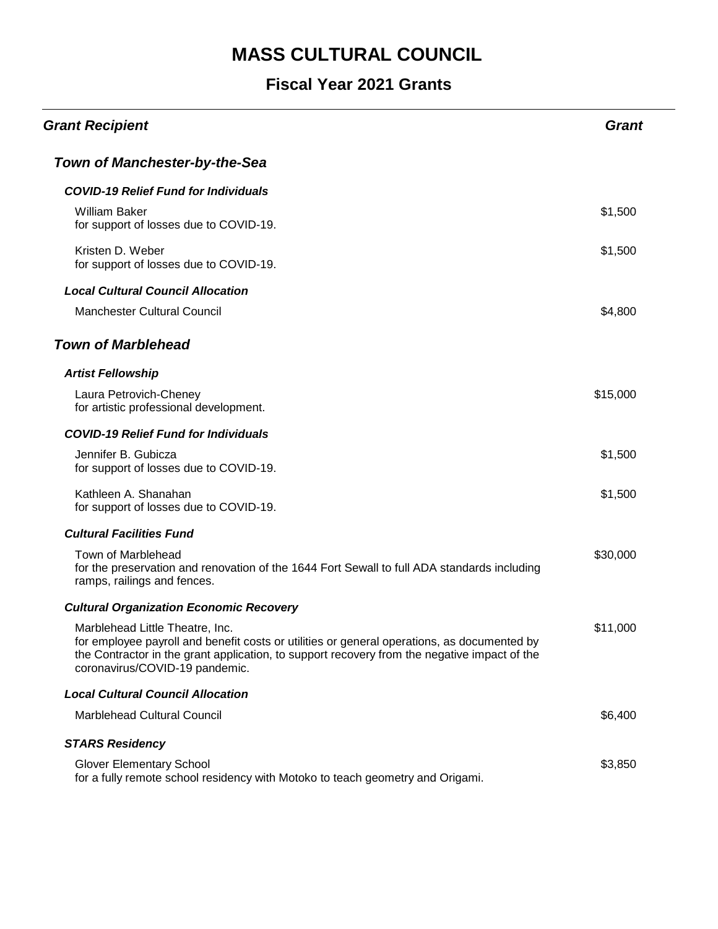| <b>Grant Recipient</b>                                                                                                                                                                                                                                           | <b>Grant</b> |
|------------------------------------------------------------------------------------------------------------------------------------------------------------------------------------------------------------------------------------------------------------------|--------------|
| <b>Town of Manchester-by-the-Sea</b>                                                                                                                                                                                                                             |              |
| <b>COVID-19 Relief Fund for Individuals</b>                                                                                                                                                                                                                      |              |
| <b>William Baker</b><br>for support of losses due to COVID-19.                                                                                                                                                                                                   | \$1,500      |
| Kristen D. Weber<br>for support of losses due to COVID-19.                                                                                                                                                                                                       | \$1,500      |
| <b>Local Cultural Council Allocation</b>                                                                                                                                                                                                                         |              |
| <b>Manchester Cultural Council</b>                                                                                                                                                                                                                               | \$4,800      |
| <b>Town of Marblehead</b>                                                                                                                                                                                                                                        |              |
| <b>Artist Fellowship</b>                                                                                                                                                                                                                                         |              |
| Laura Petrovich-Cheney<br>for artistic professional development.                                                                                                                                                                                                 | \$15,000     |
| <b>COVID-19 Relief Fund for Individuals</b>                                                                                                                                                                                                                      |              |
| Jennifer B. Gubicza<br>for support of losses due to COVID-19.                                                                                                                                                                                                    | \$1,500      |
| Kathleen A. Shanahan<br>for support of losses due to COVID-19.                                                                                                                                                                                                   | \$1,500      |
| <b>Cultural Facilities Fund</b>                                                                                                                                                                                                                                  |              |
| Town of Marblehead<br>for the preservation and renovation of the 1644 Fort Sewall to full ADA standards including<br>ramps, railings and fences.                                                                                                                 | \$30,000     |
| <b>Cultural Organization Economic Recovery</b>                                                                                                                                                                                                                   |              |
| Marblehead Little Theatre, Inc.<br>for employee payroll and benefit costs or utilities or general operations, as documented by<br>the Contractor in the grant application, to support recovery from the negative impact of the<br>coronavirus/COVID-19 pandemic. | \$11,000     |
| <b>Local Cultural Council Allocation</b>                                                                                                                                                                                                                         |              |
| <b>Marblehead Cultural Council</b>                                                                                                                                                                                                                               | \$6,400      |
| <b>STARS Residency</b>                                                                                                                                                                                                                                           |              |
| <b>Glover Elementary School</b><br>for a fully remote school residency with Motoko to teach geometry and Origami.                                                                                                                                                | \$3,850      |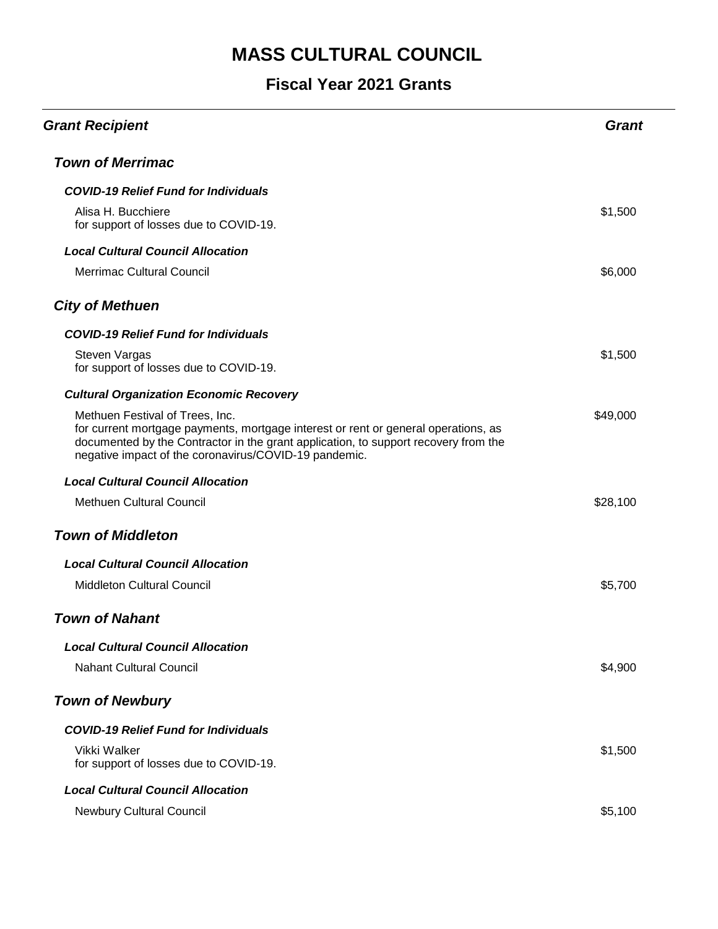| <b>Grant Recipient</b>                                                                                                                                                                                                                                                | <b>Grant</b> |
|-----------------------------------------------------------------------------------------------------------------------------------------------------------------------------------------------------------------------------------------------------------------------|--------------|
| <b>Town of Merrimac</b>                                                                                                                                                                                                                                               |              |
| <b>COVID-19 Relief Fund for Individuals</b>                                                                                                                                                                                                                           |              |
| Alisa H. Bucchiere<br>for support of losses due to COVID-19.                                                                                                                                                                                                          | \$1,500      |
| <b>Local Cultural Council Allocation</b>                                                                                                                                                                                                                              |              |
| <b>Merrimac Cultural Council</b>                                                                                                                                                                                                                                      | \$6,000      |
| <b>City of Methuen</b>                                                                                                                                                                                                                                                |              |
| <b>COVID-19 Relief Fund for Individuals</b>                                                                                                                                                                                                                           |              |
| Steven Vargas<br>for support of losses due to COVID-19.                                                                                                                                                                                                               | \$1,500      |
| <b>Cultural Organization Economic Recovery</b>                                                                                                                                                                                                                        |              |
| Methuen Festival of Trees, Inc.<br>for current mortgage payments, mortgage interest or rent or general operations, as<br>documented by the Contractor in the grant application, to support recovery from the<br>negative impact of the coronavirus/COVID-19 pandemic. | \$49,000     |
| <b>Local Cultural Council Allocation</b>                                                                                                                                                                                                                              |              |
| <b>Methuen Cultural Council</b>                                                                                                                                                                                                                                       | \$28,100     |
| <b>Town of Middleton</b>                                                                                                                                                                                                                                              |              |
| <b>Local Cultural Council Allocation</b>                                                                                                                                                                                                                              |              |
| <b>Middleton Cultural Council</b>                                                                                                                                                                                                                                     | \$5,700      |
| <b>Town of Nahant</b>                                                                                                                                                                                                                                                 |              |
| <b>Local Cultural Council Allocation</b>                                                                                                                                                                                                                              |              |
| <b>Nahant Cultural Council</b>                                                                                                                                                                                                                                        | \$4,900      |
| <b>Town of Newbury</b>                                                                                                                                                                                                                                                |              |
| <b>COVID-19 Relief Fund for Individuals</b>                                                                                                                                                                                                                           |              |
| Vikki Walker<br>for support of losses due to COVID-19.                                                                                                                                                                                                                | \$1,500      |
| <b>Local Cultural Council Allocation</b>                                                                                                                                                                                                                              |              |
| <b>Newbury Cultural Council</b>                                                                                                                                                                                                                                       | \$5,100      |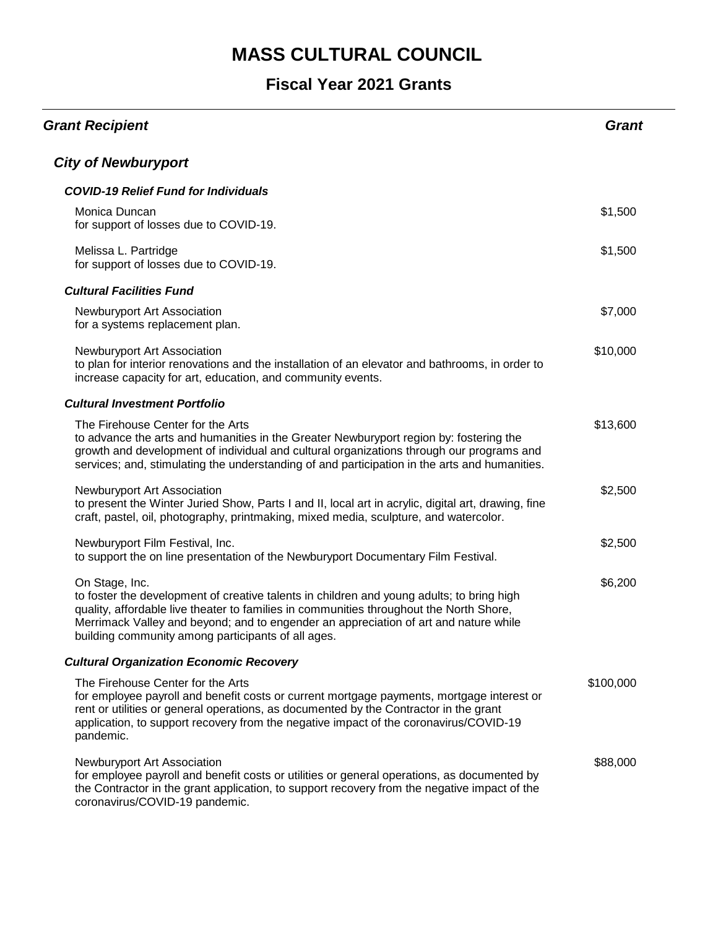| <b>Grant Recipient</b>                                                                                                                                                                                                                                                                                                                               | <b>Grant</b> |
|------------------------------------------------------------------------------------------------------------------------------------------------------------------------------------------------------------------------------------------------------------------------------------------------------------------------------------------------------|--------------|
| <b>City of Newburyport</b>                                                                                                                                                                                                                                                                                                                           |              |
| <b>COVID-19 Relief Fund for Individuals</b>                                                                                                                                                                                                                                                                                                          |              |
| Monica Duncan<br>for support of losses due to COVID-19.                                                                                                                                                                                                                                                                                              | \$1,500      |
| Melissa L. Partridge<br>for support of losses due to COVID-19.                                                                                                                                                                                                                                                                                       | \$1,500      |
| <b>Cultural Facilities Fund</b>                                                                                                                                                                                                                                                                                                                      |              |
| Newburyport Art Association<br>for a systems replacement plan.                                                                                                                                                                                                                                                                                       | \$7,000      |
| Newburyport Art Association<br>to plan for interior renovations and the installation of an elevator and bathrooms, in order to<br>increase capacity for art, education, and community events.                                                                                                                                                        | \$10,000     |
| <b>Cultural Investment Portfolio</b>                                                                                                                                                                                                                                                                                                                 |              |
| The Firehouse Center for the Arts<br>to advance the arts and humanities in the Greater Newburyport region by: fostering the<br>growth and development of individual and cultural organizations through our programs and<br>services; and, stimulating the understanding of and participation in the arts and humanities.                             | \$13,600     |
| Newburyport Art Association<br>to present the Winter Juried Show, Parts I and II, local art in acrylic, digital art, drawing, fine<br>craft, pastel, oil, photography, printmaking, mixed media, sculpture, and watercolor.                                                                                                                          | \$2,500      |
| Newburyport Film Festival, Inc.<br>to support the on line presentation of the Newburyport Documentary Film Festival.                                                                                                                                                                                                                                 | \$2,500      |
| On Stage, Inc.<br>to foster the development of creative talents in children and young adults; to bring high<br>quality, affordable live theater to families in communities throughout the North Shore,<br>Merrimack Valley and beyond; and to engender an appreciation of art and nature while<br>building community among participants of all ages. | \$6,200      |
| <b>Cultural Organization Economic Recovery</b>                                                                                                                                                                                                                                                                                                       |              |
| The Firehouse Center for the Arts<br>for employee payroll and benefit costs or current mortgage payments, mortgage interest or<br>rent or utilities or general operations, as documented by the Contractor in the grant<br>application, to support recovery from the negative impact of the coronavirus/COVID-19<br>pandemic.                        | \$100,000    |
| Newburyport Art Association<br>for employee payroll and benefit costs or utilities or general operations, as documented by<br>the Contractor in the grant application, to support recovery from the negative impact of the<br>coronavirus/COVID-19 pandemic.                                                                                         | \$88,000     |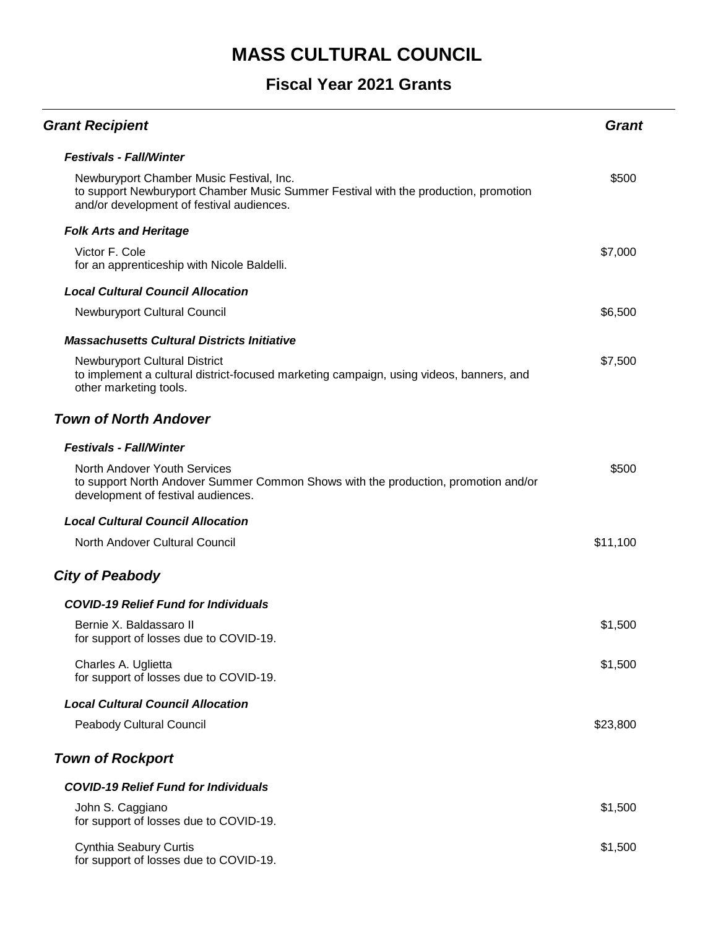| <b>Grant Recipient</b>                                                                                                                                                       | <b>Grant</b> |
|------------------------------------------------------------------------------------------------------------------------------------------------------------------------------|--------------|
| <b>Festivals - Fall/Winter</b>                                                                                                                                               |              |
| Newburyport Chamber Music Festival, Inc.<br>to support Newburyport Chamber Music Summer Festival with the production, promotion<br>and/or development of festival audiences. | \$500        |
| <b>Folk Arts and Heritage</b>                                                                                                                                                |              |
| Victor F. Cole<br>for an apprenticeship with Nicole Baldelli.                                                                                                                | \$7,000      |
| <b>Local Cultural Council Allocation</b>                                                                                                                                     |              |
| <b>Newburyport Cultural Council</b>                                                                                                                                          | \$6,500      |
| <b>Massachusetts Cultural Districts Initiative</b>                                                                                                                           |              |
| <b>Newburyport Cultural District</b><br>to implement a cultural district-focused marketing campaign, using videos, banners, and<br>other marketing tools.                    | \$7,500      |
| <b>Town of North Andover</b>                                                                                                                                                 |              |
| <b>Festivals - Fall/Winter</b>                                                                                                                                               |              |
| North Andover Youth Services<br>to support North Andover Summer Common Shows with the production, promotion and/or<br>development of festival audiences.                     | \$500        |
| <b>Local Cultural Council Allocation</b>                                                                                                                                     |              |
| North Andover Cultural Council                                                                                                                                               | \$11,100     |
| <b>City of Peabody</b>                                                                                                                                                       |              |
| <b>COVID-19 Relief Fund for Individuals</b>                                                                                                                                  |              |
| Bernie X. Baldassaro II<br>for support of losses due to COVID-19.                                                                                                            | \$1,500      |
| Charles A. Uglietta<br>for support of losses due to COVID-19.                                                                                                                | \$1,500      |
| <b>Local Cultural Council Allocation</b>                                                                                                                                     |              |
| Peabody Cultural Council                                                                                                                                                     | \$23,800     |
| <b>Town of Rockport</b>                                                                                                                                                      |              |
| <b>COVID-19 Relief Fund for Individuals</b>                                                                                                                                  |              |
| John S. Caggiano<br>for support of losses due to COVID-19.                                                                                                                   | \$1,500      |
| Cynthia Seabury Curtis<br>for support of losses due to COVID-19.                                                                                                             | \$1,500      |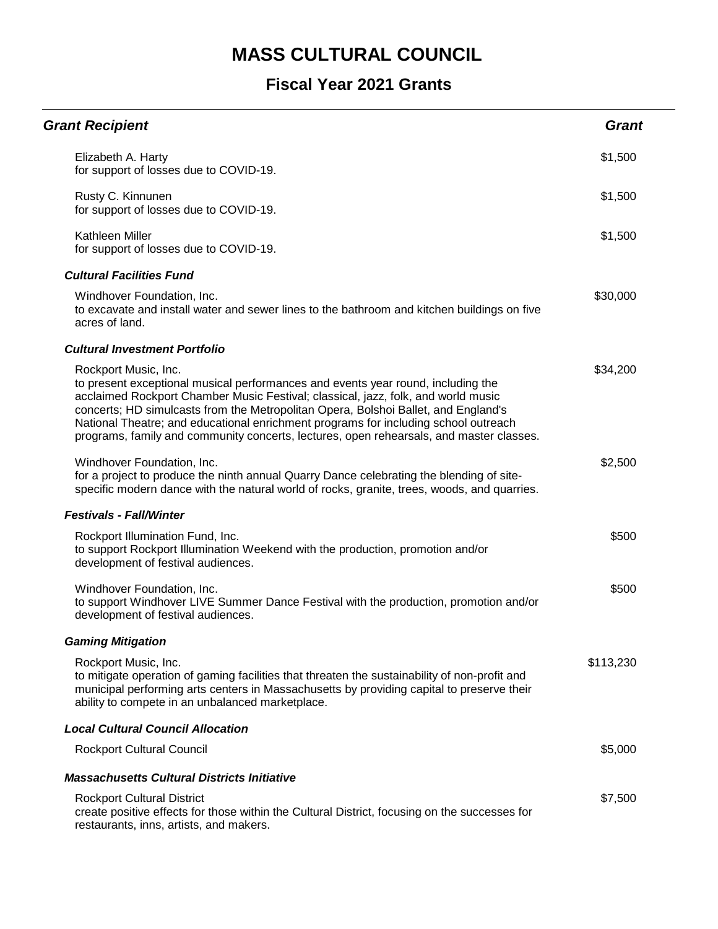| <b>Grant Recipient</b>                                                                                                                                                                                                                                                                                                                                                                                                                                                | <b>Grant</b> |
|-----------------------------------------------------------------------------------------------------------------------------------------------------------------------------------------------------------------------------------------------------------------------------------------------------------------------------------------------------------------------------------------------------------------------------------------------------------------------|--------------|
| Elizabeth A. Harty<br>for support of losses due to COVID-19.                                                                                                                                                                                                                                                                                                                                                                                                          | \$1,500      |
| Rusty C. Kinnunen<br>for support of losses due to COVID-19.                                                                                                                                                                                                                                                                                                                                                                                                           | \$1,500      |
| Kathleen Miller<br>for support of losses due to COVID-19.                                                                                                                                                                                                                                                                                                                                                                                                             | \$1,500      |
| <b>Cultural Facilities Fund</b>                                                                                                                                                                                                                                                                                                                                                                                                                                       |              |
| Windhover Foundation, Inc.<br>to excavate and install water and sewer lines to the bathroom and kitchen buildings on five<br>acres of land.                                                                                                                                                                                                                                                                                                                           | \$30,000     |
| <b>Cultural Investment Portfolio</b>                                                                                                                                                                                                                                                                                                                                                                                                                                  |              |
| Rockport Music, Inc.<br>to present exceptional musical performances and events year round, including the<br>acclaimed Rockport Chamber Music Festival; classical, jazz, folk, and world music<br>concerts; HD simulcasts from the Metropolitan Opera, Bolshoi Ballet, and England's<br>National Theatre; and educational enrichment programs for including school outreach<br>programs, family and community concerts, lectures, open rehearsals, and master classes. | \$34,200     |
| Windhover Foundation, Inc.<br>for a project to produce the ninth annual Quarry Dance celebrating the blending of site-<br>specific modern dance with the natural world of rocks, granite, trees, woods, and quarries.                                                                                                                                                                                                                                                 | \$2,500      |
| <b>Festivals - Fall/Winter</b>                                                                                                                                                                                                                                                                                                                                                                                                                                        |              |
| Rockport Illumination Fund, Inc.<br>to support Rockport Illumination Weekend with the production, promotion and/or<br>development of festival audiences.                                                                                                                                                                                                                                                                                                              | \$500        |
| Windhover Foundation, Inc.<br>to support Windhover LIVE Summer Dance Festival with the production, promotion and/or<br>development of festival audiences.                                                                                                                                                                                                                                                                                                             | \$500        |
| <b>Gaming Mitigation</b>                                                                                                                                                                                                                                                                                                                                                                                                                                              |              |
| Rockport Music, Inc.<br>to mitigate operation of gaming facilities that threaten the sustainability of non-profit and<br>municipal performing arts centers in Massachusetts by providing capital to preserve their<br>ability to compete in an unbalanced marketplace.                                                                                                                                                                                                | \$113,230    |
| <b>Local Cultural Council Allocation</b>                                                                                                                                                                                                                                                                                                                                                                                                                              |              |
| <b>Rockport Cultural Council</b>                                                                                                                                                                                                                                                                                                                                                                                                                                      | \$5,000      |
| <b>Massachusetts Cultural Districts Initiative</b>                                                                                                                                                                                                                                                                                                                                                                                                                    |              |
| <b>Rockport Cultural District</b><br>create positive effects for those within the Cultural District, focusing on the successes for<br>restaurants, inns, artists, and makers.                                                                                                                                                                                                                                                                                         | \$7,500      |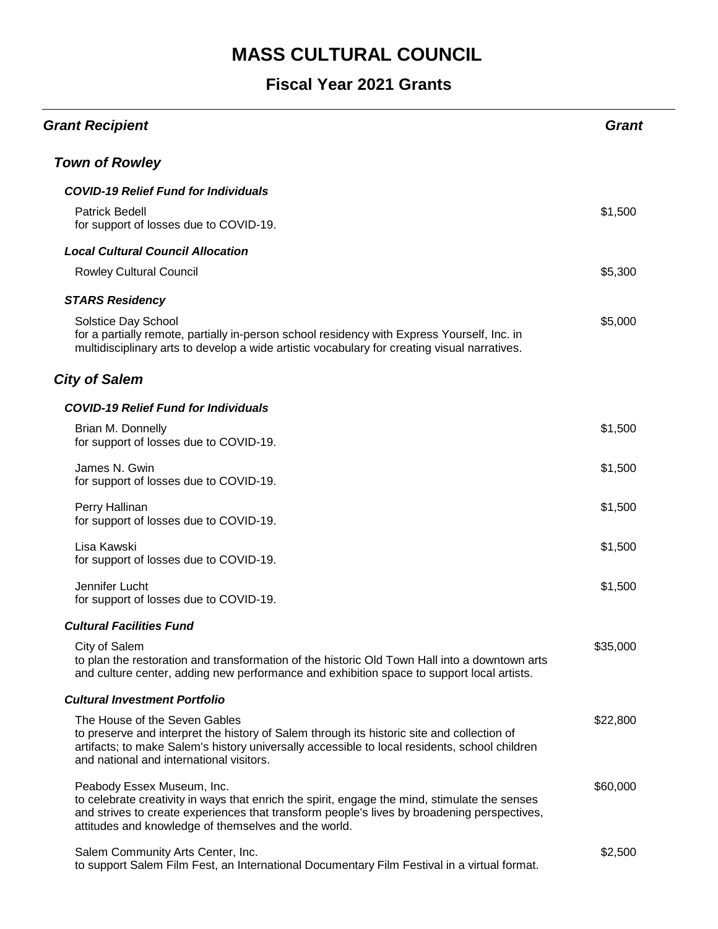| <b>Grant Recipient</b>                                                                                                                                                                                                                                                             | <b>Grant</b> |
|------------------------------------------------------------------------------------------------------------------------------------------------------------------------------------------------------------------------------------------------------------------------------------|--------------|
| <b>Town of Rowley</b>                                                                                                                                                                                                                                                              |              |
| <b>COVID-19 Relief Fund for Individuals</b>                                                                                                                                                                                                                                        |              |
| <b>Patrick Bedell</b><br>for support of losses due to COVID-19.                                                                                                                                                                                                                    | \$1,500      |
| <b>Local Cultural Council Allocation</b>                                                                                                                                                                                                                                           |              |
| <b>Rowley Cultural Council</b>                                                                                                                                                                                                                                                     | \$5,300      |
| <b>STARS Residency</b>                                                                                                                                                                                                                                                             |              |
| Solstice Day School<br>for a partially remote, partially in-person school residency with Express Yourself, Inc. in<br>multidisciplinary arts to develop a wide artistic vocabulary for creating visual narratives.                                                                 | \$5,000      |
| <b>City of Salem</b>                                                                                                                                                                                                                                                               |              |
| <b>COVID-19 Relief Fund for Individuals</b>                                                                                                                                                                                                                                        |              |
| Brian M. Donnelly<br>for support of losses due to COVID-19.                                                                                                                                                                                                                        | \$1,500      |
| James N. Gwin<br>for support of losses due to COVID-19.                                                                                                                                                                                                                            | \$1,500      |
| Perry Hallinan<br>for support of losses due to COVID-19.                                                                                                                                                                                                                           | \$1,500      |
| Lisa Kawski<br>for support of losses due to COVID-19.                                                                                                                                                                                                                              | \$1,500      |
| Jennifer Lucht<br>for support of losses due to COVID-19.                                                                                                                                                                                                                           | \$1,500      |
| <b>Cultural Facilities Fund</b>                                                                                                                                                                                                                                                    |              |
| City of Salem<br>to plan the restoration and transformation of the historic Old Town Hall into a downtown arts<br>and culture center, adding new performance and exhibition space to support local artists.                                                                        | \$35,000     |
| <b>Cultural Investment Portfolio</b>                                                                                                                                                                                                                                               |              |
| The House of the Seven Gables<br>to preserve and interpret the history of Salem through its historic site and collection of<br>artifacts; to make Salem's history universally accessible to local residents, school children<br>and national and international visitors.           | \$22,800     |
| Peabody Essex Museum, Inc.<br>to celebrate creativity in ways that enrich the spirit, engage the mind, stimulate the senses<br>and strives to create experiences that transform people's lives by broadening perspectives,<br>attitudes and knowledge of themselves and the world. | \$60,000     |
| Salem Community Arts Center, Inc.<br>to support Salem Film Fest, an International Documentary Film Festival in a virtual format.                                                                                                                                                   | \$2,500      |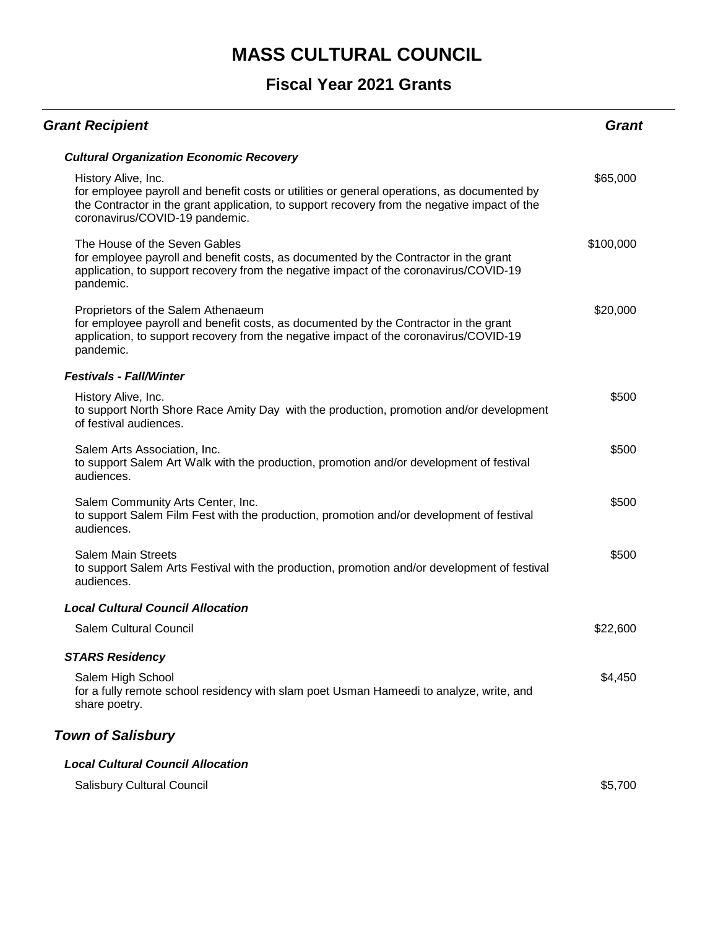#### **Fiscal Year 2021 Grants**

| <b>Grant Recipient</b>                                                                                                                                                                                                                               | Grant     |
|------------------------------------------------------------------------------------------------------------------------------------------------------------------------------------------------------------------------------------------------------|-----------|
| <b>Cultural Organization Economic Recovery</b>                                                                                                                                                                                                       |           |
| History Alive, Inc.<br>for employee payroll and benefit costs or utilities or general operations, as documented by<br>the Contractor in the grant application, to support recovery from the negative impact of the<br>coronavirus/COVID-19 pandemic. | \$65,000  |
| The House of the Seven Gables<br>for employee payroll and benefit costs, as documented by the Contractor in the grant<br>application, to support recovery from the negative impact of the coronavirus/COVID-19<br>pandemic.                          | \$100,000 |
| Proprietors of the Salem Athenaeum<br>for employee payroll and benefit costs, as documented by the Contractor in the grant<br>application, to support recovery from the negative impact of the coronavirus/COVID-19<br>pandemic.                     | \$20,000  |
| <b>Festivals - Fall/Winter</b>                                                                                                                                                                                                                       |           |
| History Alive, Inc.<br>to support North Shore Race Amity Day with the production, promotion and/or development<br>of festival audiences.                                                                                                             | \$500     |
| Salem Arts Association, Inc.<br>to support Salem Art Walk with the production, promotion and/or development of festival<br>audiences.                                                                                                                | \$500     |
| Salem Community Arts Center, Inc.<br>to support Salem Film Fest with the production, promotion and/or development of festival<br>audiences.                                                                                                          | \$500     |
| <b>Salem Main Streets</b><br>to support Salem Arts Festival with the production, promotion and/or development of festival<br>audiences.                                                                                                              | \$500     |
| <b>Local Cultural Council Allocation</b>                                                                                                                                                                                                             |           |
| <b>Salem Cultural Council</b>                                                                                                                                                                                                                        | \$22,600  |
| <b>STARS Residency</b>                                                                                                                                                                                                                               |           |
| Salem High School<br>for a fully remote school residency with slam poet Usman Hameedi to analyze, write, and<br>share poetry.                                                                                                                        | \$4,450   |
| <b>Town of Salisbury</b>                                                                                                                                                                                                                             |           |
| <b>Local Cultural Council Allocation</b>                                                                                                                                                                                                             |           |

Salisbury Cultural Council **\$5,700**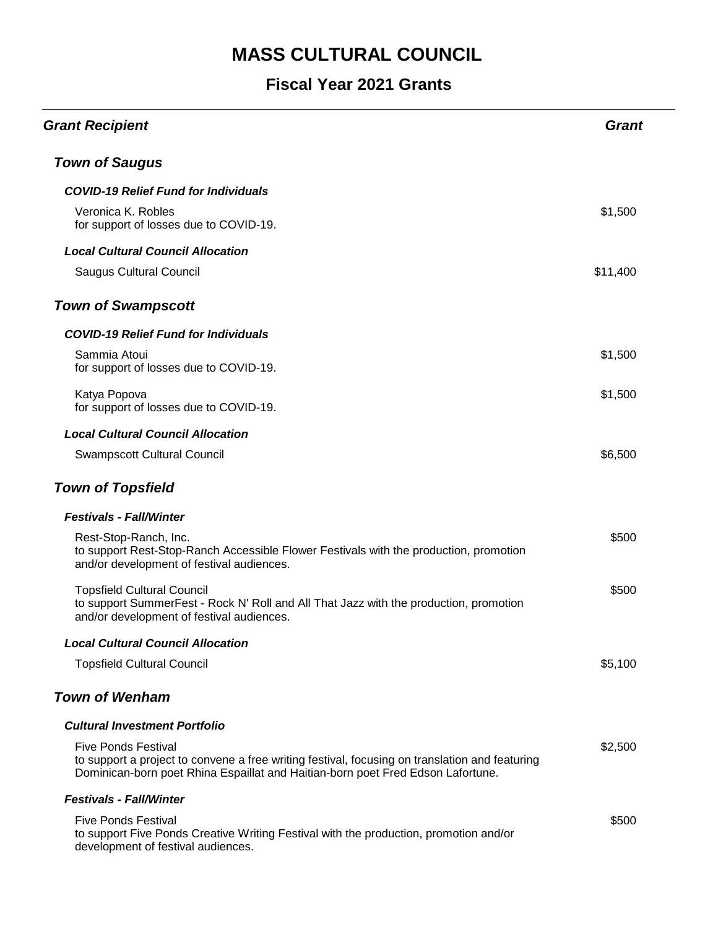| <b>Grant Recipient</b>                                                                                                                                                                                          | <b>Grant</b> |
|-----------------------------------------------------------------------------------------------------------------------------------------------------------------------------------------------------------------|--------------|
| <b>Town of Saugus</b>                                                                                                                                                                                           |              |
| <b>COVID-19 Relief Fund for Individuals</b>                                                                                                                                                                     |              |
| Veronica K. Robles<br>for support of losses due to COVID-19.                                                                                                                                                    | \$1,500      |
| <b>Local Cultural Council Allocation</b>                                                                                                                                                                        |              |
| <b>Saugus Cultural Council</b>                                                                                                                                                                                  | \$11,400     |
| <b>Town of Swampscott</b>                                                                                                                                                                                       |              |
| <b>COVID-19 Relief Fund for Individuals</b>                                                                                                                                                                     |              |
| Sammia Atoui<br>for support of losses due to COVID-19.                                                                                                                                                          | \$1,500      |
| Katya Popova<br>for support of losses due to COVID-19.                                                                                                                                                          | \$1,500      |
| <b>Local Cultural Council Allocation</b>                                                                                                                                                                        |              |
| <b>Swampscott Cultural Council</b>                                                                                                                                                                              | \$6,500      |
| <b>Town of Topsfield</b>                                                                                                                                                                                        |              |
| <b>Festivals - Fall/Winter</b>                                                                                                                                                                                  |              |
| Rest-Stop-Ranch, Inc.<br>to support Rest-Stop-Ranch Accessible Flower Festivals with the production, promotion<br>and/or development of festival audiences.                                                     | \$500        |
| <b>Topsfield Cultural Council</b><br>to support SummerFest - Rock N' Roll and All That Jazz with the production, promotion<br>and/or development of festival audiences.                                         | \$500        |
| <b>Local Cultural Council Allocation</b>                                                                                                                                                                        |              |
| <b>Topsfield Cultural Council</b>                                                                                                                                                                               | \$5,100      |
| <b>Town of Wenham</b>                                                                                                                                                                                           |              |
| <b>Cultural Investment Portfolio</b>                                                                                                                                                                            |              |
| <b>Five Ponds Festival</b><br>to support a project to convene a free writing festival, focusing on translation and featuring<br>Dominican-born poet Rhina Espaillat and Haitian-born poet Fred Edson Lafortune. | \$2,500      |
| <b>Festivals - Fall/Winter</b>                                                                                                                                                                                  |              |
| <b>Five Ponds Festival</b><br>to support Five Ponds Creative Writing Festival with the production, promotion and/or<br>development of festival audiences.                                                       | \$500        |